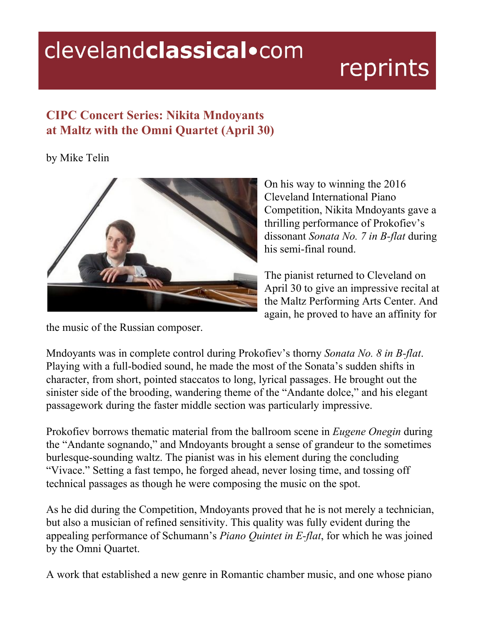## clevelandclassical.com

## reprints

## **CIPC Concert Series: Nikita Mndoyants at Maltz with the Omni Quartet (April 30)**

by Mike Telin



On his way to winning the 2016 Cleveland International Piano Competition, Nikita Mndoyants gave a thrilling performance of Prokofiev's dissonant *Sonata No. 7 in B-flat* during his semi-final round.

The pianist returned to Cleveland on April 30 to give an impressive recital at the Maltz Performing Arts Center. And again, he proved to have an affinity for

the music of the Russian composer.

Mndoyants was in complete control during Prokofiev's thorny *Sonata No. 8 in B-flat*. Playing with a full-bodied sound, he made the most of the Sonata's sudden shifts in character, from short, pointed staccatos to long, lyrical passages. He brought out the sinister side of the brooding, wandering theme of the "Andante dolce," and his elegant passagework during the faster middle section was particularly impressive.

Prokofiev borrows thematic material from the ballroom scene in *Eugene Onegin* during the "Andante sognando," and Mndoyants brought a sense of grandeur to the sometimes burlesque-sounding waltz. The pianist was in his element during the concluding "Vivace." Setting a fast tempo, he forged ahead, never losing time, and tossing off technical passages as though he were composing the music on the spot.

As he did during the Competition, Mndoyants proved that he is not merely a technician, but also a musician of refined sensitivity. This quality was fully evident during the appealing performance of Schumann's *Piano Quintet in E-flat*, for which he was joined by the Omni Quartet.

A work that established a new genre in Romantic chamber music, and one whose piano